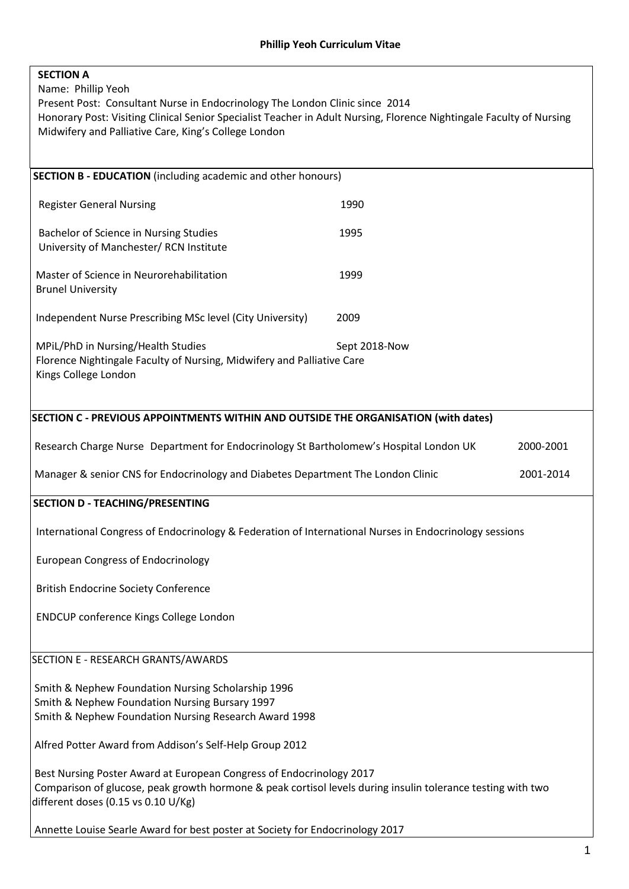| <b>SECTION A</b><br>Name: Phillip Yeoh<br>Present Post: Consultant Nurse in Endocrinology The London Clinic since 2014<br>Honorary Post: Visiting Clinical Senior Specialist Teacher in Adult Nursing, Florence Nightingale Faculty of Nursing<br>Midwifery and Palliative Care, King's College London |               |           |  |  |
|--------------------------------------------------------------------------------------------------------------------------------------------------------------------------------------------------------------------------------------------------------------------------------------------------------|---------------|-----------|--|--|
| <b>SECTION B - EDUCATION</b> (including academic and other honours)                                                                                                                                                                                                                                    |               |           |  |  |
| <b>Register General Nursing</b>                                                                                                                                                                                                                                                                        | 1990          |           |  |  |
| Bachelor of Science in Nursing Studies<br>University of Manchester/RCN Institute                                                                                                                                                                                                                       | 1995          |           |  |  |
| Master of Science in Neurorehabilitation<br><b>Brunel University</b>                                                                                                                                                                                                                                   | 1999          |           |  |  |
| Independent Nurse Prescribing MSc level (City University)                                                                                                                                                                                                                                              | 2009          |           |  |  |
| MPiL/PhD in Nursing/Health Studies<br>Florence Nightingale Faculty of Nursing, Midwifery and Palliative Care<br>Kings College London                                                                                                                                                                   | Sept 2018-Now |           |  |  |
| SECTION C - PREVIOUS APPOINTMENTS WITHIN AND OUTSIDE THE ORGANISATION (with dates)                                                                                                                                                                                                                     |               |           |  |  |
| Research Charge Nurse Department for Endocrinology St Bartholomew's Hospital London UK<br>2000-2001                                                                                                                                                                                                    |               |           |  |  |
| Manager & senior CNS for Endocrinology and Diabetes Department The London Clinic                                                                                                                                                                                                                       |               | 2001-2014 |  |  |
| <b>SECTION D - TEACHING/PRESENTING</b>                                                                                                                                                                                                                                                                 |               |           |  |  |
| International Congress of Endocrinology & Federation of International Nurses in Endocrinology sessions                                                                                                                                                                                                 |               |           |  |  |
| <b>European Congress of Endocrinology</b>                                                                                                                                                                                                                                                              |               |           |  |  |
| <b>British Endocrine Society Conference</b>                                                                                                                                                                                                                                                            |               |           |  |  |
| ENDCUP conference Kings College London                                                                                                                                                                                                                                                                 |               |           |  |  |
| SECTION E - RESEARCH GRANTS/AWARDS                                                                                                                                                                                                                                                                     |               |           |  |  |
| Smith & Nephew Foundation Nursing Scholarship 1996<br>Smith & Nephew Foundation Nursing Bursary 1997<br>Smith & Nephew Foundation Nursing Research Award 1998                                                                                                                                          |               |           |  |  |
| Alfred Potter Award from Addison's Self-Help Group 2012                                                                                                                                                                                                                                                |               |           |  |  |
| Best Nursing Poster Award at European Congress of Endocrinology 2017<br>Comparison of glucose, peak growth hormone & peak cortisol levels during insulin tolerance testing with two<br>different doses (0.15 vs 0.10 U/Kg)                                                                             |               |           |  |  |
| Annette Louise Searle Award for best poster at Society for Endocrinology 2017                                                                                                                                                                                                                          |               |           |  |  |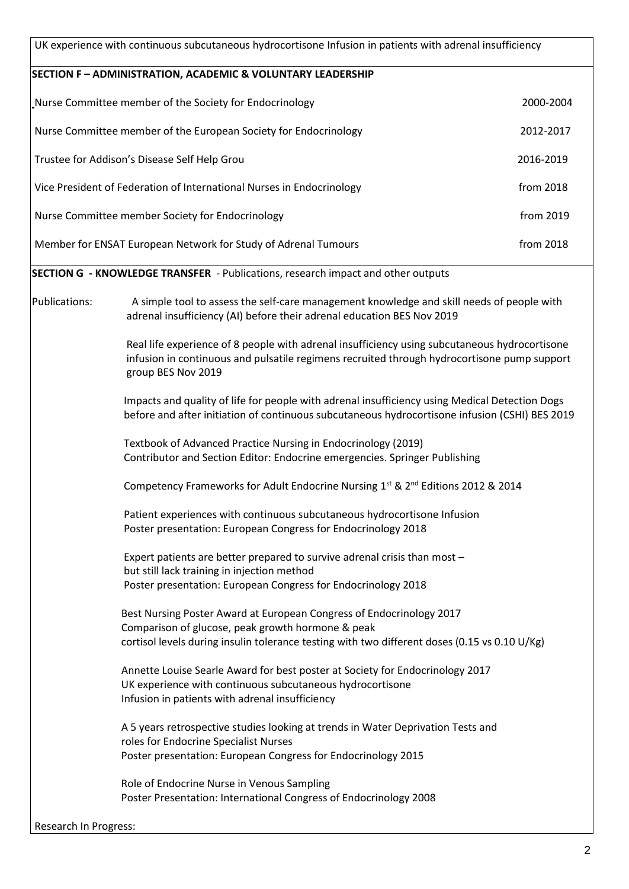|               | UK experience with continuous subcutaneous hydrocortisone Infusion in patients with adrenal insufficiency                                                                                                                  |           |  |
|---------------|----------------------------------------------------------------------------------------------------------------------------------------------------------------------------------------------------------------------------|-----------|--|
|               | <b>SECTION F-ADMINISTRATION, ACADEMIC &amp; VOLUNTARY LEADERSHIP</b>                                                                                                                                                       |           |  |
|               | Nurse Committee member of the Society for Endocrinology                                                                                                                                                                    | 2000-2004 |  |
|               | Nurse Committee member of the European Society for Endocrinology                                                                                                                                                           | 2012-2017 |  |
|               | Trustee for Addison's Disease Self Help Grou                                                                                                                                                                               | 2016-2019 |  |
|               | Vice President of Federation of International Nurses in Endocrinology                                                                                                                                                      | from 2018 |  |
|               | Nurse Committee member Society for Endocrinology                                                                                                                                                                           | from 2019 |  |
|               | Member for ENSAT European Network for Study of Adrenal Tumours                                                                                                                                                             | from 2018 |  |
|               | SECTION G - KNOWLEDGE TRANSFER - Publications, research impact and other outputs                                                                                                                                           |           |  |
| Publications: | A simple tool to assess the self-care management knowledge and skill needs of people with<br>adrenal insufficiency (AI) before their adrenal education BES Nov 2019                                                        |           |  |
|               | Real life experience of 8 people with adrenal insufficiency using subcutaneous hydrocortisone<br>infusion in continuous and pulsatile regimens recruited through hydrocortisone pump support<br>group BES Nov 2019         |           |  |
|               | Impacts and quality of life for people with adrenal insufficiency using Medical Detection Dogs<br>before and after initiation of continuous subcutaneous hydrocortisone infusion (CSHI) BES 2019                           |           |  |
|               | Textbook of Advanced Practice Nursing in Endocrinology (2019)<br>Contributor and Section Editor: Endocrine emergencies. Springer Publishing                                                                                |           |  |
|               | Competency Frameworks for Adult Endocrine Nursing 1 <sup>st</sup> & 2 <sup>nd</sup> Editions 2012 & 2014                                                                                                                   |           |  |
|               | Patient experiences with continuous subcutaneous hydrocortisone Infusion<br>Poster presentation: European Congress for Endocrinology 2018                                                                                  |           |  |
|               | Expert patients are better prepared to survive adrenal crisis than most -<br>but still lack training in injection method<br>Poster presentation: European Congress for Endocrinology 2018                                  |           |  |
|               | Best Nursing Poster Award at European Congress of Endocrinology 2017<br>Comparison of glucose, peak growth hormone & peak<br>cortisol levels during insulin tolerance testing with two different doses (0.15 vs 0.10 U/Kg) |           |  |
|               | Annette Louise Searle Award for best poster at Society for Endocrinology 2017<br>UK experience with continuous subcutaneous hydrocortisone<br>Infusion in patients with adrenal insufficiency                              |           |  |
|               | A 5 years retrospective studies looking at trends in Water Deprivation Tests and<br>roles for Endocrine Specialist Nurses<br>Poster presentation: European Congress for Endocrinology 2015                                 |           |  |
|               | Role of Endocrine Nurse in Venous Sampling<br>Poster Presentation: International Congress of Endocrinology 2008                                                                                                            |           |  |

Research In Progress: